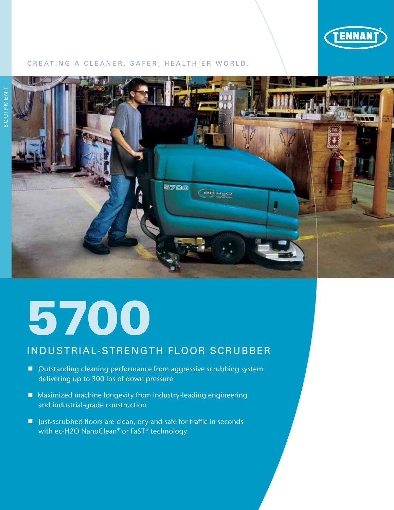

#### CREATING A CLEANER, SAFER, HEALTHIER WORLD.



# 5700

### INDUSTRIAL-STRENGTH FLOOR SCRUBBER

- Outstanding cleaning performance from aggressive scrubbing system delivering up to 300 lbs of down pressure
- Maximized machine longevity from industry-leading engineering and industrial-grade construction
- Just-scrubbed floors are clean, dry and safe for traffic in seconds with ec-H2O NanoClean® or FaST® technology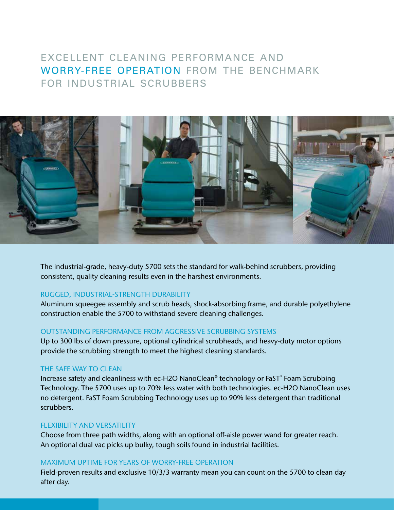## EXCELLENT CLEANING PERFORMANCE AND WORRY-FREE OPERATION FROM THE BENCHMARK FOR INDUSTRIAL SCRUBBERS



The industrial-grade, heavy-duty 5700 sets the standard for walk-behind scrubbers, providing consistent, quality cleaning results even in the harshest environments.

#### RUGGED, INDUSTRIAL-STRENGTH DURABILITY

Aluminum squeegee assembly and scrub heads, shock-absorbing frame, and durable polyethylene construction enable the 5700 to withstand severe cleaning challenges.

#### OUTSTANDING PERFORMANCE FROM AGGRESSIVE SCRUBBING SYSTEMS

Up to 300 lbs of down pressure, optional cylindrical scrubheads, and heavy-duty motor options provide the scrubbing strength to meet the highest cleaning standards.

#### THE SAFE WAY TO CLEAN

Increase safety and cleanliness with ec-H2O NanoClean® technology or FaST° Foam Scrubbing Technology. The 5700 uses up to 70% less water with both technologies. ec-H2O NanoClean uses no detergent. FaST Foam Scrubbing Technology uses up to 90% less detergent than traditional scrubbers.

#### FLEXIBILITY AND VERSATILITY

Choose from three path widths, along with an optional off-aisle power wand for greater reach. An optional dual vac picks up bulky, tough soils found in industrial facilities.

#### MAXIMUM UPTIME FOR YEARS OF WORRY-FREE OPERATION

Field-proven results and exclusive 10/3/3 warranty mean you can count on the 5700 to clean day after day.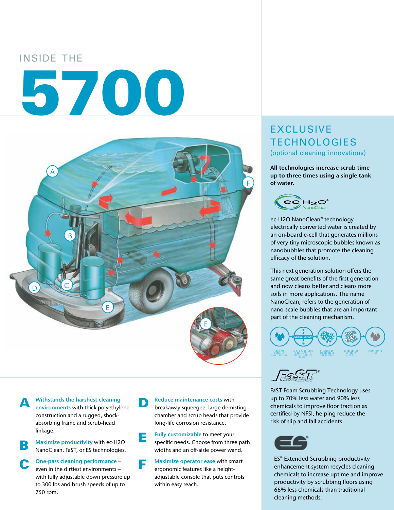# INSIDE THE

# 5700



Withstands the harshest cleaning environments with thick polyethylene construction and a rugged, shockabsorbing frame and scrub-head linkage.

**B** Maximize productivity with ec-H2O NanoClean, FaST, or ES technologies.

C One-pass cleaning performance – even in the dirtiest environments – with fully adjustable down pressure up to 300 lbs and brush speeds of up to 750 rpm.

#### **D** Reduce maintenance costs with<br>breakaway squeegee, large demisting chamber and scrub heads that provide long-life corrosion resistance.

- **E** Fully customizable to meet your<br>specific needs. Choose from three path widths and an off-aisle power wand.
- **F** Maximize operator ease with smart<br>ergonomic features like a heightadjustable console that puts controls within easy reach.

# EXCLUSIVE **TECHNOLOGIES**

(optional cleaning innovations)

All technologies increase scrub time up to three times using a single tank of water.



ec-H2O NanoClean® technology electrically converted water is created by an on-board e-cell that generates millions of very tiny microscopic bubbles known as nanobubbles that promote the cleaning efficacy of the solution.

This next generation solution offers the same great benefits of the first generation and now cleans better and cleans more soils in more applications. The name NanoClean, refers to the generation of nano-scale bubbles that are an important part of the cleaning mechanism.





FaST Foam Scrubbing Technology uses up to 70% less water and 90% less chemicals to improve floor traction as certified by NFSI, helping reduce the risk of slip and fall accidents.



ES® Extended Scrubbing productivity enhancement system recycles cleaning chemicals to increase uptime and improve productivity by scrubbing floors using 66% less chemicals than traditional cleaning methods.